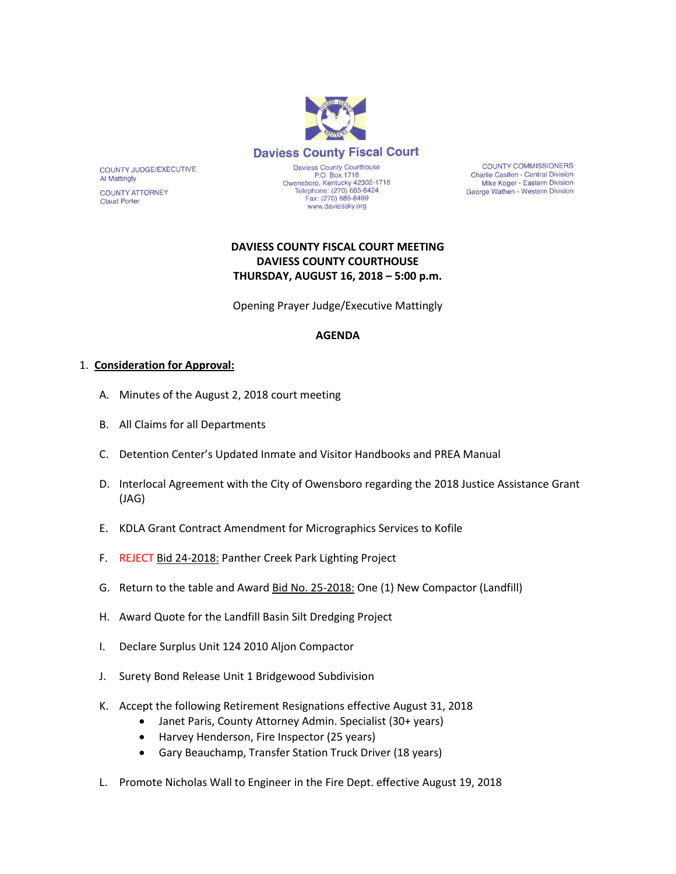

COUNTY JUDGE/EXECUTIVE **Al Mattingly** 

**COUNTY ATTORNEY Claud Porter** 

Daviess County Courthouse<br>P.O. Box 1716 Owensboro, Kentucky 42302-1716<br>Telephone: (270) 685-8424<br>Fax: (270) 685-8469 www.daviessky.org

**COUNTY COMMISSIONERS** Charlie Castlen - Central Division Mike Koger - Eastern Division George Wathen - Western Division

## **DAVIESS COUNTY FISCAL COURT MEETING DAVIESS COUNTY COURTHOUSE THURSDAY, AUGUST 16, 2018 – 5:00 p.m.**

Opening Prayer Judge/Executive Mattingly

#### **AGENDA**

#### 1. **Consideration for Approval:**

- A. Minutes of the August 2, 2018 court meeting
- B. All Claims for all Departments
- C. Detention Center's Updated Inmate and Visitor Handbooks and PREA Manual
- D. Interlocal Agreement with the City of Owensboro regarding the 2018 Justice Assistance Grant (JAG)
- E. KDLA Grant Contract Amendment for Micrographics Services to Kofile
- F. REJECT Bid 24-2018: Panther Creek Park Lighting Project
- G. Return to the table and Award **Bid No. 25-2018:** One (1) New Compactor (Landfill)
- H. Award Quote for the Landfill Basin Silt Dredging Project
- I. Declare Surplus Unit 124 2010 Aljon Compactor
- J. Surety Bond Release Unit 1 Bridgewood Subdivision
- K. Accept the following Retirement Resignations effective August 31, 2018
	- Janet Paris, County Attorney Admin. Specialist (30+ years)
	- Harvey Henderson, Fire Inspector (25 years)
	- Gary Beauchamp, Transfer Station Truck Driver (18 years)
- L. Promote Nicholas Wall to Engineer in the Fire Dept. effective August 19, 2018